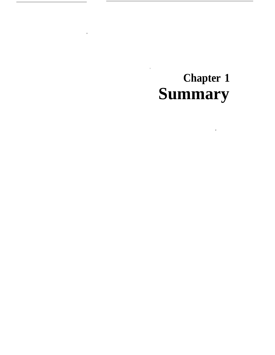# **Chapter 1** Summary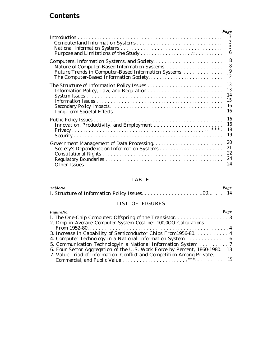### **Contents**

|                                                      | Page<br>3                                            |
|------------------------------------------------------|------------------------------------------------------|
|                                                      | $\overline{3}$<br>$\overline{5}$<br>$\boldsymbol{6}$ |
|                                                      | 8                                                    |
|                                                      | 8                                                    |
| Future Trends in Computer-Based Information Systems. | $\boldsymbol{9}$                                     |
| The Computer-Based Information Society,              | 12                                                   |
|                                                      | 13                                                   |
| Information Policy, Law, and Regulation              | 13                                                   |
|                                                      | 14                                                   |
|                                                      | 15                                                   |
|                                                      | 16                                                   |
|                                                      | 16                                                   |
|                                                      | 16                                                   |
|                                                      | 16                                                   |
|                                                      | 18                                                   |
|                                                      | 19                                                   |
|                                                      | 20                                                   |
| Society's Dependence on Information Systems          | 21                                                   |
|                                                      | 22                                                   |
|                                                      | 24                                                   |
|                                                      | 24                                                   |

### TABLE

| TableNo. |  | Page |
|----------|--|------|
|          |  |      |

#### LIST OF FIGURES

| FigureNo.                                                                     | Page |
|-------------------------------------------------------------------------------|------|
|                                                                               |      |
| 2, Drop in Average Computer System Cost per 100,000 Calculations              |      |
|                                                                               |      |
| 3. Increase in Capability of Semiconductor Chips From 1956-80. 4              |      |
| 4. Computer Technology in a National Information System 6                     |      |
| 5. Communication Technologyin a National Information System 7                 |      |
| 6. Four Sector Aggregation of the U.S. Work Force by Percent, 1860-1980. . 13 |      |
| 7. Value Triad of Information: Conflict and Competition Among Private,        |      |
|                                                                               |      |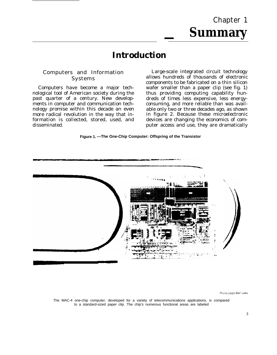# Chapter 1 **— Summary**

# **Introduction**

#### Computers and Information Systems

Computers have become a major technological tool of American society during the past quarter of a century. New developments in computer and communication technology promise within this decade an even more radical revolution in the way that information is collected, stored, used, and disseminated.

Large-scale integrated circuit technology allows hundreds of thousands of electronic components to be fabricated on a thin silicon wafer smaller than a paper clip (see fig. 1) thus providing computing capability hundreds of times less expensive, less energyconsuming, and more reliable than was available only two or three decades ago, as shown in figure 2. Because these microelectronic devices are changing the economics of computer access and use, they are dramatically

#### **Figure 1. —The One-Chip Computer: Offspring of the Transistor**



Photo credit Be// Labs

The MAC-4 one-chip computer, developed for a variety of telecommunications applications, is compared to a standard-sized paper clip. The chip's numerous functional areas are labeled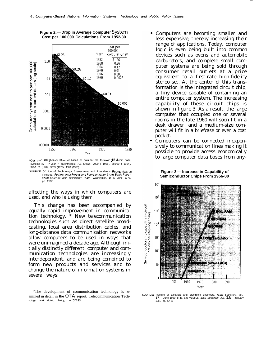

**Figure 2.— Drop in Average Computer** System **Cost per 100,000 Calculations From 1952-80**

a<sub>Cost</sub> per 100 000 calculations is based on data for the following IBM com puter systems (w I th year ın parentheses) 701 (1952), 7090 ( 1958), 360/50 ( 1964),<br>370/1 66 (1970), 3033 (1976), 4300 (1980)

SOURCE Off Ice of Technology Assessment and President's Reorganization Project, Federal Data Processing Reorganization Study Basic Report of the Science and Technology Team, Washington, D C June 1978, pp 2930

affecting the ways in which computers are used, and who is using them.

This change has been accompanied by equally rapid improvement in communication technology. \* New telecommunication technologies such as direct satellite broadcasting, local area distribution cables, and long-distance data communication networks allow computers to be used in ways that were unimagined a decade ago. Although initially distinctly different, computer and communication technologies are increasingly interdependent, and are being combined to form new products and services and to change the nature of information systems in several ways:

Computers are becoming smaller and less expensive, thereby increasing their range of applications. Today, computer logic is even being built into common devices such as ovens and automobile carburetors, and complete small computer systems are being sold through consumer retail outlets at a price equivalent to a first-rate high-fidelity stereo set. At the center of this transformation is the integrated circuit chip, a tiny device capable of containing an entire computer system. The increasing capability of these circuit chips is shown in figure 3. As a result, the large computer that occupied one or several rooms in the late 1960 will soon fit in a desk drawer, and a medium-size computer will fit in a briefcase or even a coat pocket.

—

Computers can be connected inexpensively to communication lines making it possible to provide access economically to large computer data bases from any-



SOURCE: Institute of Electrical and Electronic Engineers, IEEE Spectrum. vol. 17, June 1980, p 48, and VLSI/LSI IEEE Spectrum VOI. 18 January 1981, pp. 57-61

<sup>\*</sup>The development of communication technology is examined in detail in **the** OTA report, Telecommunication Technology and Public Policy, in press.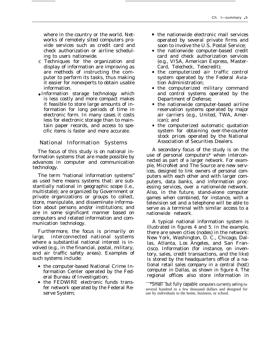where in the country or the world. Networks of remotely sited computers provide services such as credit card and check authorization or airline scheduling to users nationwide.

- c Techniques for the organization and display of information are improving as are methods of instructing the *com*puter to perform its tasks, thus making it easier for nonexperts to obtain usable information.
- Information storage technology which is less costly and more compact makes it feasible to store large amounts of information for long periods of time in electronic form. In many cases it costs less for electronic storage than to maintain paper records, and access to specific items is faster and more accurate.

#### National Information Systems

The focus of this study is on national information systems that are made possible by advances in computer and communication technology.

The term "national information systems" as used here means systems that: are substantially national in geographic scope (i.e., multistate); are organized by Government or private organizations or groups to collect, store, manipulate, and disseminate information about persons and/or institutions; and are in some significant manner based on computers and related information and communication technology.

Furthermore, the focus is primarily on large, interconnected national systems where a substantial national interest is involved (e.g., in the financial, postal, military, and air traffic safety areas). Examples of such systems include:

- the computer-based National Crime Information Center operated by the Federal Bureau of Investigation;
- the FEDWIRE electronic funds transfer network operated by the Federal Reserve System;
- the nationwide electronic mail services operated by several private firms and soon to involve the U.S. Postal Service;
- the nationwide computer-based credit card and check authorization services (e.g., VISA, American Express, Master-Card, Telecheck, Telecredit);
- the computerized air traffic control system operated by the Federal Aviation Administration;
- the computerized military command and control systems operated by the Department of Defense;
- the nationwide computer-based airline reservation systems operated by major air carriers (e.g., United, TWA, American); and
- the computerized automatic quotation system for obtaining over-the-counter stock prices operated by the National Association of Securities Dealers.

A secondary focus of the study is on the use of personal computers\* when interconnected as part of a larger network. For example, MicroNet and The Source are new services, designed to link owners of personal computers with each other and with larger computers, data banks, and information processing services, over a nationwide network. Also, in the future, stand-alone computer games when combined, for instance, with a television set and a telephone will be able to serve as a terminal with similar access to a nationwide network.

A typical national information system is illustrated in figures 4 and 5. In the example, there are seven cities (nodes) in the network: New York, Washington, D. C., Chicago, Dallas, Atlanta, Los Angeles, and San Francisco. Information (for instance, on inventory, sales, credit transactions, and the like) is stored by the headquarters office of a national retail sales company in a central (host) computer in Dallas, as shown in figure 4. The regional offices also store information in

<sup>\*</sup>Small but fully capable computers currently selling for several hundred to a few thousand dollars and designed for use by individuals in the home, business, or school.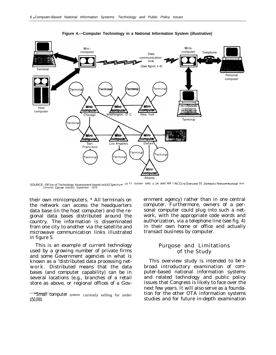

**Figure 4.—Computer Technology in a National Information System (illustrative)**

SOURCE: Off Ice of Technology Assessment based on EEE Spectrum, vol 17, October 1980, p 24; and AR I NC Corp Overview 01 Domestic Telecommunicat /ens Common Carrier Industry, September

their own minicomputers. \* All terminals on the network can access the headquarters data base (in the host computer) and the regional data bases distributed around the country. The information is disseminated from one city to another via the satellite and microwave communication links illustrated in figure 5.

This is an example of current technology used by a growing number of private firms and some Government agencies in what is known as a "distributed data processing network. Distributed means that the data bases (and computer capability) can be in several locations (e.g., branches of a retail store as above, or regional offices of a Government agency) rather than in one central computer. Furthermore, owners of a personal computer could plug into such a network, with the appropriate code words and authorization, via a telephone line (see fig. 4) in their own home or office and actually transact business by computer.

#### Purpose and Limitations of the Study

This overview study is intended to be a broad introductory examination of computer-based national information systems and related technology and public policy issues that Congress is likely to face over the next few years. It will also serve as a foundation for the other OTA information systems studies and for future in-depth examination

<sup>\*</sup>Small computer systems currently selling for under \$50,000.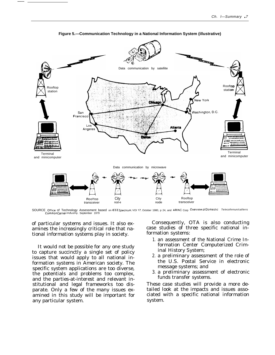

Figure 5.-Communication Technology in a National Information System (illustrative)

SOURCE Office of Technology Assessment based on IEEE Spectrum VOI 17, October 1980, p 24, and ARINC Corp Overview of Domestic Te/ecofinnun/caf/errs<br>CommonCarrier Industry, September 1979

of particular systems and issues. It also examines the increasingly critical role that national information systems play in society.

It would not be possible for any one study to capture succinctly a single set of policy issues that would apply to all national information systems in American society. The specific system applications are too diverse, the potentials and problems too complex, and the parties-at-interest and relevant institutional and legal frameworks too disparate. Only a few of the many issues examined in this study will be important for any particular system.

Consequently, OTA is also conducting case studies of three specific national information systems:

- 1. an assessment of the National Crime Information Center Computerized Criminal History System;
- 2. a preliminary assessment of the role of the U.S. Postal Service in electronic message systems; and
- 3. a preliminary assessment of electronic funds transfer systems.

These case studies will provide a more detailed look at the impacts and issues associated with a specific national information system.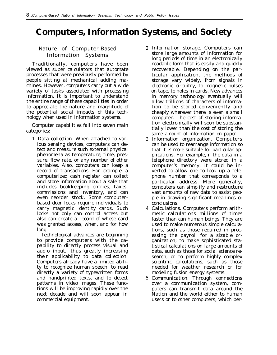# **Computers, Information Systems, and Society**

#### Nature of Computer-Based Information Systems

Traditionally, computers have been viewed as super calculators that automate processes that were previously performed by people sitting at mechanical adding machines. However, computers carry out a wide variety of tasks associated with processing information. It is important to understand the entire range of these capabilities in order to appreciate the nature and magnitude of the potential social impacts of this technology when used in information systems.

Computer capabilities fall into seven main categories:

1. *Data collection.* When attached to various sensing devices, computers can detect and measure such external physical phenomena as temperature, time, pressure, flow rate, or any number of other variables. Also, computers can keep a record of transactions. For example, a computerized cash register can collect and store information about a sale that includes bookkeeping entries, taxes, commissions and inventory, and can even reorder stock. Some computerbased door locks require individuals to carry magnetic identity cards. Such locks not only can control access but also can create a record of whose card was granted access, when, and for how long.

Technological advances are beginning to provide computers with the capability to directly process visual and audio input, thus greatly increasing their applicability to data collection. Computers already have a limited ability to recognize human speech, to read directly a variety of typewritten forms and handprinted texts, and to detect patterns in video images. These functions will be improving rapidly over the next decade and will soon appear in commercial equipment.

- 2. *Information storage.* Computers can store large amounts of information for long periods of time in an electronically readable form that is easily and quickly recoverable. Depending on the particular application, the methods of storage vary widely, from signals in electronic circuitry, to magnetic pulses on tape, to holes in cards. New advances in memory technology eventually will allow trillions of characters of information to be stored conveniently and cheaply wherever there is even a small computer. The cost of storing information electronically will soon be substantially lower than the cost of storing the same amount of information on paper.
- 3. *Information organization.* Computers can be used to rearrange information so that it is more suitable for particular applications. For example, if the data in a telephone directory were stored in a computer's memory, it could be inverted to allow one to look up a telephone number that corresponds to a particular address. More generally, computers can simplify and restructure vast amounts of raw data to assist people in drawing significant meanings or conclusions.
- 4. *Calculations.* Computers perform arithmetic calculations millions of times faster than can human beings. They are used to make numerous simple calculations, such as those required in processing the payroll for a sizable organization; to make sophisticated statistical calculations on large amounts of data, such as those for social science research; or to perform highly complex scientific calculations, such as those needed for weather research or for modeling fusion energy systems.
- 5. *Communication.* Through connections over a communication system, computers can transmit data around the Nation and the world either to human users or to other computers, which per-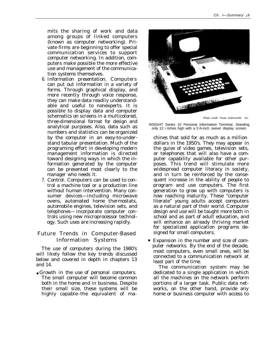mits the sharing of work and data among groups of linked computers (known as computer networking). Private firms are beginning to offer special communication services to support computer networking. In addition, computers make possible the more effective use and management of the communication systems themselves.

- 6. *Information presentation.* Computers can put out information in a variety of forms. Through graphical display, and more recently through voice response, they can make data readily understandable and useful to nonexperts. It is possible to display data and computer schematics on screens in a multicolored, three-dimensional format for design and analytical purposes. Also, data such as numbers and statistics can be organized by the computer in an easy-to-understand tabular presentation. Much of the programing effort in developing modern management information is directed toward designing ways in which the information generated by the computer can be presented most clearly to the manager who needs it.
- 7. *Control.* Computers can be used to control a machine tool or a production line without human intervention. Many consumer devices—including microwave ovens, automated home thermostats, automobile engines, television sets, and telephones— incorporate computer controls using new microprocessor technology. Such uses are increasing rapidly.

#### Future Trends in Computer-Based Information Systems

The use of computers during the 1980's will likely follow the key trends discussed below and covered in depth in chapters 13 and 14.

● *Growth in the use of personal computers.* The small computer will become common both in the home and in business. Despite their small size, these systems will be highly capable–the equivalent of ma-



Photo credit: Texas Insfruments

INSIGHT Series 10 Personal Information Terminal. Standing only 12 i riches high with a 5<sup>1</sup>A-inch swivel display screen

chines that sold for as much as a million dollars in the 1950's. They may appear in the guise of video games, television sets, or telephones that will also have a computer capability available for other purposes. This trend will stimulate more widespread computer literacy in society, and in turn be reinforced by the consequent increase in the ability of people to program and use computers. The first generation to grow up with computers is now reaching maturity. These "computer literate" young adults accept computers as a natural part of their world. Computer design and use will be taught more both in school and as part of adult education, and will enhance an already thriving market for specialized application programs designed for small computers.

*Expansion in the number and size of computer networks.* By the end of the decade, most computers, even small ones, will be connected to a communication network at least part of the time.

The communication system may be dedicated to a single application in which all the machines on the network perform portions of a larger task. Public data networks, on the other hand, provide any home or business computer with access to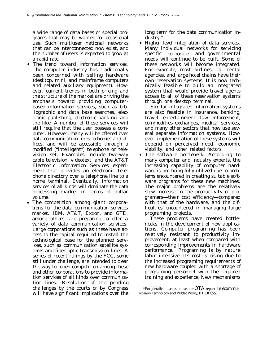a wide range of data bases or special programs that may be wanted for occasional use. Such multiuser national networks that can be interconnected now exist, and the number of users is expected to grow at a rapid rate.

- *The trend toward information services.* The computer industry has traditionally been concerned with selling hardware (desktop, mini, and mainframe computers and related auxiliary equipment). However, current trends in both pricing and the structure of the market are driving the emphasis toward providing computerbased information services, such as bibliographic and data base searches, electronic publishing, electronic banking, and the like. A number of these services will still require that the user possess a computer. However, many will be offered over data communication lines to homes and offices, and will be accessible through a modified ("intelligent") telephone or television set. Examples include two-way cable television, videotext, and the AT&T Electronic Information Services experiment that provides an electronic telephone directory over a telephone line to a home terminal. Eventually, information services of all kinds will dominate the data processing market in terms of dollar volume.
- *The competition among giant corporations for the data communication services market.* IBM, AT&T, Exxon, and GTE, among others, are preparing to offer a variety of data communication services. Large corporations such as these have access to the capital required to install the technological base for the planned services, such as communication satellite systems and fiber optic transmission lines. A series of recent rulings by the FCC, some still under challenge, are intended to clear the way for open competition among these and other corporations to provide information services of all kinds over communication lines. Resolution of the pending challenges by the courts or by Congress will have significant implications over the

long term for the data communication industry.\*

● *Higher level integration of data services.* Many individual networks for servicing specific corporate and governmental needs will continue to be built. Some of these networks will become integrated. For example, most airlines, car rental agencies, and large hotel chains have their own reservation systems. It is now technically feasible to build an integrated system that would provide travel agents access to all of these reservation systems through one desktop terminal.

Similar integrated information systems are also feasible in insurance, banking, travel, entertainment, law enforcement, commodities exchanges, medical services, and many other sectors that now use several separate information systems. However, implementation of these systems will depend on perceived need, economic viability, and other related factors.

● *The software bottleneck.* According to many computer and industry experts, the increasing capability of computer hardware is not being fully utilized due to problems encountered in creating suitable software programs for these new machines. The major problems are the relatively slow increase in the productivity of programers—their cost efficiency—compared with that of the hardware, and the difficulties encountered in managing large programing projects.

These problems have created bottlenecks in the development of new applications. Computer programing has been relatively resistant to productivity improvement, at least when compared with corresponding improvements in hardware performance. Programing is by nature labor intensive. Its cost is rising due to the increased programing requirements of new hardware coupled with a shortage of programing personnel with the required training and experience, New mechanisms

<sup>\*</sup>For detailed discussion, see the OTA report *Telecommu*nication *Technology and Public Policy,* in press.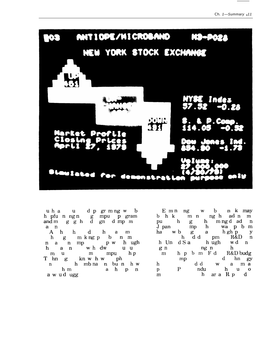

 $\begin{array}{ccccccccc}\n u & h & a & & u & d & p & gr & m & ng & w & b \\
 h & pfu & n & ngn & & g & mpu & p & gram\n\end{array}$  $\frac{1}{2}$  and m  $\frac{1}{2}$  g  $\frac{1}{2}$  h  $\frac{1}{2}$  g  $\frac{1}{2}$  m  $\frac{1}{2}$  m  $\frac{1}{2}$ a n

n a n mp p w h ugh<br>
h a n w h dw u u<br>
m u m mpu h p<br>
T hn g kn w h w ph<br>
n h mb na n bu n h w h<sub>m</sub> ah p n a w u d ugg

 $\begin{tabular}{lcccccc} E & m & ng & w & b & n & k & may\\ b & h & k & m & n & ng & h & ad & n\\ pu & h & g & h & m & ng & ad & n\\ J & pan & mp & h & wa & p & b & m\\ ha & w & b & g & a & h & g & p\\ h & dd & pm & R&D & n\\ h & I & h & d & g & h & u & d\\ h & I & h & c & a & h & u & d\\ h & g & h & u & d & m & d\\ \end{tabular}$  $\begin{array}{cccccccccccc} & & & & & \text{h} & \text{d} & \text{d} & \text{pm} & \text{h} & \text{m} \\ \text{h} & \text{l} & \text{h} & \text{d} & \text{S} & \text{a} & \text{h} & \text{ugh} & \text{w} & \text{d} & \text{n} \\ \text{g} & \text{n} & & & \text{ng} & \text{n} & & \text{h} \\ \text{m} & & \text{h} & \text{p} & \text{b} & \text{m} & \text{F} & \text{d} & & \text{R} \& \text{D} \& \text{budget} \\ \text{m} & & & & \$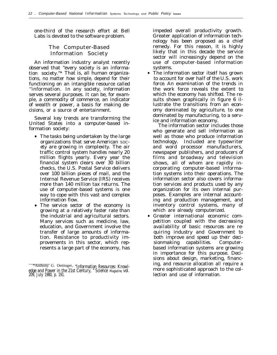one-third of the research effort at Bell Labs is devoted to the software problem.

#### The Computer-Based Information Society

An information industry analyst recently observed that "every society is an information society."\* That is, all human organizations, no matter how simple, depend for their functioning on an intangible resource called ''information. In any society, information serves several purposes. It can be, for example, a commodity of commerce, an indicator of wealth or power, a basis for making decisions, or a source of entertainment.

Several key trends are transforming the United States into a computer-based information society:

- *The tasks being undertaken by the large organizations that serve American* SOC*ety are growing in complexity.* The air traffic control system handles nearly 20 million flights yearly. Every year the financial system clears over 30 billion checks, the U.S. Postal Service delivers over 100 billion pieces of mail, and the Internal Revenue Service (IRS) receives more than 140 million tax returns. The use of computer-based systems is one way to cope with this vast and complex information flow.
- *The service sector of the economy is growing at a relatively faster rate than the industrial and agricultural sectors.* Many services such as medicine, law, education, and Government involve the transfer of large amounts of information. Resistance to productivity improvements in this sector, which represents a large part of the economy, has

impeded overall productivity growth. Greater application of information technology has been proposed as a chief remedy. For this reason, it is highly likely that in this decade the service sector will increasingly depend on the use of computer-based information systems.

● *The information sector itself has grown to account for over half of the U.S. work force.* An examination of the trends in the work force reveals the extent to which the economy has shifted. The results shown graphically in figure 6 illustrate the transitions from an economy dominated by agriculture, to one dominated by manufacturing, to a service and information economy.

The information sector includes those who generate and sell information as well as those who produce information technology. Included are typewriter and word processor manufacturers, newspaper publishers, and producers of films and broadway and television shows, all of whom are rapidly incorporating computer-based information systems into their operations. The information sector also covers information services and products used by any organization for its own internal purposes. Examples are internal accounting and production management, and inventory control systems, many of which are already computerized.

● *Greater international economic competition coupled with the decreasing availability of basic resources are requiring industry and Government to both improve and speed up their decisionmaking capabilities.* Computerbased information systems are growing in importance for this purpose. Decisions about design, marketing, financing, and resource allocation all require a more sophisticated approach to the collection and use of information.

<sup>\*</sup>Anthony G. Oettinger, "Information Resources: Knowledge and Power in the 21st Century, " Science *Magazine,* vol. 209, July 1980, p. 191.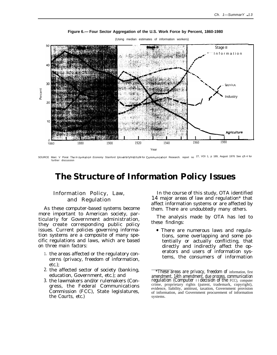

#### Figure 6.— Four Sector Aggregation of the U.S. Work Force by Percent, 1860-1980

(Using median estimates of information workers)

SOURCE Marc V Porat The In formation Economy Stanford University Institute for Communication Research. report no 27, VOI 1, p 189, August 1976 See ch 4 for further discussion

## **The Structure of Information Policy Issues**

#### **Information Policy, Law,** and Regulation

As these computer-based systems become more important to American society, particularly for Government administration, they create corresponding public policy issues. Current policies governing information systems are a composite of many specific regulations and laws, which are based on three main factors:

- 1. the areas affected or the regulatory concerns (privacy, freedom of information,  $etc.$ :
- 2. the affected sector of society (banking, education, Government, etc.); and
- 3. the lawmakers and/or rulemakers (Congress, the Federal Communications Commission (FCC), State legislatures, the Courts, etc.)

In the course of this study, OTA identified 14 major areas of law and regulation\* that affect information systems or are affected by them. There are undoubtedly many others.

The analysis made by OTA has led to these findings:

• There are numerous laws and regulations, some overlapping and some potentially or actually conflicting, that directly and indirectly affect the operators and users of information systems, the consumers of information

These areas are privacy, freedom of information, first amendment, 14th amendment, due process, communication regulation (Computer 11 decision of the FCC), computer crime, proprietary rights (patent, trademark, copyright), evidence, liability, antitrust, taxation, Government provision of information, and Government procurement of information systems.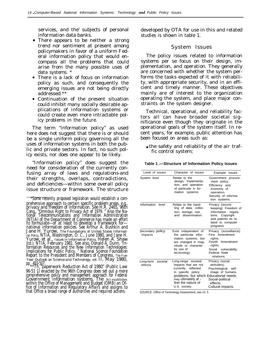services, and the' subjects of personal information data banks.

- There appears to be neither a strong trend nor sentiment at present among policymakers in favor of a uniform Federal information policy that would encompass all the problems that could arise from the many possible uses of data systems. \*
- There is a lack of focus on information policy as such, and consequently the emerging issues are not being directly addressed.\*\*
- Continuation of the present situation could inhibit many socially desirable applications of information systems or could create even more intractable policy problems in the future.

The term "information policy" as used here does not suggest that there is or should be a single uniform policy governing all the uses of information systems in both the public and private sectors. In fact, no such policy exists, nor does one appear to be likely.

"Information policy" does suggest the need for consideration of the currently confusing array of laws and regulations-and their strengths, overlaps, contradictions, and deficiencies—within some overall policy issue structure or framework. The structure

pp. 493-507. \*\*The "paperwork Reduction Act of 1980" (Public Law 96-51 1) enacted by the 96th Congress does set out a more comprehensive policy and management approach for Federal Government information systems, The Act establishes within the Office of Management and Budget (OMB) an Office of Information and Regulatory Affairs and assigns to that Office a broad range of authorities and required actions.

developed by OTA for use in this and related studies is shown in table 1.

#### System Issues

The policy issues related to information systems per se focus on their design, implementation, and operation. They generally are concerned with whether the system performs the tasks expected of it with reliability, with appropriate security, and in an efficient and timely manner. These objectives mainly are of interest to the organization operating the system, and place major constraints on the system designer.

Technical, operational, and reliability factors all can have broader societal significance even though they originate in the operational goals of the system itself. In recent years, for example, public attention has been focused on areas such as:

• the safety and reliability of the air traffic control system;

| Level of issues                  | Character of issues                                                                                                                                                                              | Example<br>issues                                                                                                                              |
|----------------------------------|--------------------------------------------------------------------------------------------------------------------------------------------------------------------------------------------------|------------------------------------------------------------------------------------------------------------------------------------------------|
| System level                     | Relate to the<br>design, implementa-<br>tion, and operation<br>of particular in for-<br>mation systems.                                                                                          | Government procure-<br>ment policy,<br>Efficiency and<br>economy of<br>operation.<br>Security of informa-<br>tion systems.                     |
| Information<br>level             | Relate to the hand-<br>ling of data: collec-<br>tion, storage, use,<br>dissemination.<br>and                                                                                                     | Privacy (record-<br>keeping). Freedom of<br>information<br>regula-<br>tions. Copyright<br>and patents as re-<br>lated to computer<br>programs. |
| Secondary policy<br>impacts      | Exist independent of<br>the particular infor-<br>mation systems, but<br>are changed in mag-<br>nitude or character<br>by use of<br>technology.                                                   | Privacy (surveillance).<br>First Amendment<br>rights.<br>Fourth Amendment<br>rights.<br>Social vulnerability.<br>Federal State<br>relations.   |
| societal<br>Long-term<br>effects | Long-range societal<br>impacts that are not<br>currently reflected<br>in specific policy<br>problems, but which Educational needs.<br>may ultimately af -<br>feet the nature of<br>U.S. society. | Privacy (social<br>attitudes).<br>Psychological self-<br>image of humans.<br>Social-political<br>effects.<br>Cultural impacts.                 |

**Table 1 .—Structure of Information Policy Issues**

SOURCE: Office of Technology Assessment, see ch. 5

<sup>\*</sup>Some recently proposed legislation would establish a comprehensive approach to certain specific problem areas, e.g., privacy and freedom of information. See H.R. 2465, 96th Cong., "Omnibus Right to Privacy Act of 1979. " Also the National Telecommunications and Information Administration (NTIA) of the Department of Commerce has made an effort to formulate—or at least to develop a framework for national information policies. See Arthur A. Bushkin and Jane H. Yurow, *The Foundations of United States Information Policy,* NTIA, Washington, D. C., June 1980, and Jane H. Yurow, et al., *Issues in Information Policy,* Helen A. Shaw (cd.), NTIA, February 1981. See also, Donald A. Dunn, "Information Resources and the New Information Technologies: Implications for Public Policy, " National Science Foundation Report to the President and Members of Congress, *The Five-Year Outlook on Science and Technology, vol.* II, May 1980,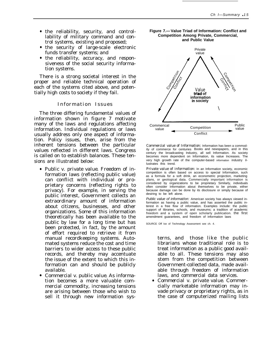- the reliability, security, and controllability of military command and control systems, existing and proposed;
- the security of large-scale electronic funds transfer systems; and
- the reliability, accuracy, and responsiveness of the social security information systems.

There is a strong societal interest in the proper and reliable technical operation of each of the systems cited above, and potentially high costs to society if they fail.

#### Information Issue s

The three differing fundamental values of information shown in figure 7 motivate many of the laws and regulations affecting information. Individual regulations or laws usually address only one aspect of information. Policy issues, then, arise from the inherent tensions between the particular values reflected in different laws. Congress is called on to establish balances. These tensions are illustrated below:

- *Public v. private value.* Freedom of information laws (reflecting public value) can conflict with individual or proprietary concerns (reflecting rights to privacy). For example, in serving the public interest, Government collects an extraordinary amount of information about citizens, businesses, and other organizations. Some of this information theoretically has been available to the public by law for a long time but has been protected, in fact, by the amount of effort required to retrieve it from manual recordkeeping systems. Automated systems reduce the cost and time barriers to wider access to these public records, and thereby may accentuate the issue of the extent to which this information can and should be publicly available.
- *Commercial v. public value.* As information becomes a more valuable commercial commodity, increasing tensions are arising between those who wish to sell it through new information sys-





*Commercial value of Information:* Information has been a commodity of commerce for centuries Books and newspapers, and in this century the broadcasting Industry, all sell Information. As society becomes more dependent on Information, its value Increases. The very high growth rate of the computer-based information industry illustrates this trend.

*Private value of information:* In an Information society, economic competition is often based on access to special Information, such as a formula for a soft drink, an econometric projection, marketing plans, or geological data. Commercially important information is considered by organizations to be proprietary Similarly, individuals often consider Information about themselves to be private, either because damage can be done by its disclosure or simply because of desiring to be left alone.

Public value of informat/on: American society has always viewed information as having a public value, and has asserted the public interest in a free flow of information. Examples include: the public support of Iibraries, schools, and museums; a tradition of academic freedom and a system of open scholarly publication. the first amendment guarantees, and freedom of information laws

SOURCE Off Ice of Technology Assessment see ch. 4.

terns, and those like the public librarians whose traditional role is to treat information as a public good available to all. These tensions may also stem from the competition between Government-collected data, made available through freedom of information laws, and commercial data services.

● *Commercial v. private value.* Commercially marketable information may invade privacy or proprietary rights, as in the case of computerized mailing lists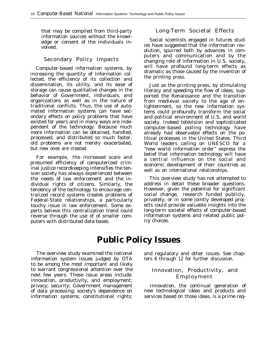that may be compiled from third-party information sources without the knowledge or consent of the individuals involved.

#### Secondary Policy Impacts

Computer-based information systems, by increasing the quantity of information collected, the efficiency of its collection and dissemination, its utility, and its ease of storage can cause qualitative changes in the behavior of Government, individuals, and organizations as well as in the nature of traditional conflicts. Thus, the use of automated information systems can have secondary effects on policy problems that have existed for years and in many ways are independent of the technology. Because much more information can be obtained, handled, processed, and distributed so much faster, old problems are not merely exacerbated, but new ones are created.

For example, the increased scale and presumed efficiency of computerized criminal justice recordkeeping intensifies the tension society has always experienced between the needs of law enforcement and the individual rights of citizens. Similarly, the tendency of the technology to encourage centralized record systems creates problems of Federal-State relationships, a particularly touchy issue in law enforcement. Some experts believe this centralization trend could reverse through the use of of smaller computers with distributed data bases.

#### Long-Term Societal Effects

Social scientists engaged in futures studies have suggested that the information revolution, spurred both by advances in computers and communication and by the changing role of information in U.S. society, will have profound long-term effects as dramatic as those caused by the invention of the printing press.

Just as the printing press, by stimulating literacy and speeding the flow of ideas, supported the Renaissance and the transition from medieval society to the age of enlightenment, so the new information systems could profoundly transform the social and political environment of U.S. and world society. Indeed television and sophisticated computer-based polling technology have already had observable effects on the political processes in the United States. Third World leaders calling on UNESCO for a "new world information order" express the belief that information technology will have a central influence on the social and economic development of their countries as well as on international relationships.

This overview study has not attempted to address in detail these broader questions. However, given the potential for significant social change, research funded publicly, privately, or in some jointly developed projects could provide valuable insights into the long-term societal effects of computer-based information systems and related public policy choices.

# **Public Policy Issues**

information system issues judged by OTA ters 6 through 12 for further discussion. to be among the most important and likely to warrant congressional attention over the **Innovation, Productivity, and** next few years. These issue areas include: next few years. These issue areas include: **Employment** innovation, productivity, and employment; privacy; security; Government management Innovation, the continual generation of of data processing; society's dependence on new technological ideas and products and information systems; constitutional rights; services based on those ideas, is a prime req-

The overview study examined the national and regulatory and other issues. See chap-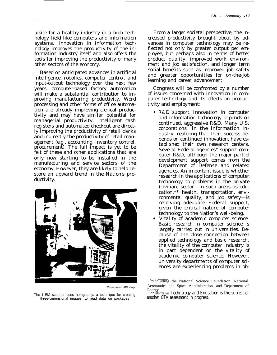uisite for a healthy industry in a high technology field like computers and information systems. Innovation in information technology improves the productivity of the information industry itself and also offers the tools for improving the productivity of many other sectors of the economy.

Based on anticipated advances in artificial intelligence, robotics, computer control, and input-output technology over the next few years, computer-based factory automation will make a substantial contribution to improving manufacturing productivity. Word processing and other forms of office automation are already improving clerical productivity and may have similar potential for managerial productivity. Intelligent cash registers and automated checkout are directly improving the productivity of retail clerks and indirectly the productivity of retail management (e.g., accounting, inventory control, procurement). The full impact is yet to be felt of these and other applications that are only now starting to be installed in the manufacturing and service sectors of the economy. However, they are likely to help restore an upward trend in the Nation's productivity.



Photo credit: IBM Corp.

The I EM scanner uses holography, a technique for creating three-dimensional images, to read data on packages

From a larger societal perspective, the increased productivity brought about by advances in computer technology may be reflected not only by greater output per employee, but perhaps also in terms of better product quality, improved work environment and job satisfaction, and longer term social benefits such as improved job safety and greater opportunities for on-the-job learning and career advancement.

Congress will be confronted by a number of issues concerned with innovation in computer technology and its effects on productivity and employment:

- *R&D support.* Innovation in computer and information technology depends on continued, aggressive R&D. Many U.S. corporations in the information industry, realizing that their success depends on continued innovation, have established their own research centers. Several Federal agencies\* support computer R&D, although the major part of development support comes from the Department of Defense and related agencies. An important issue is whether research in the applications of computer technology to problems in the private (civilian) sector—in such areas as education,\*\* health, transportation, environmental quality, and job safety—is receiving adequate Federal support, given the critical nature of computer technology to the Nation's well-being.
- $\frac{1}{2}$ *Vitality of academic computer science.* Basic research in computer science is largely carried out in universities. Because of the close connection between applied technology and basic research, the vitality of the computer industry is in part dependent on the vitality of academic computer science. However, university departments of computer sciences are experiencing problems in ob-

<sup>\*</sup>Including the National Science Foundation, National Aeronautics and Space Administration, and Department of Energy.

<sup>\*\*</sup>Information Technology and Education is the subject of another OTA assessment in progress.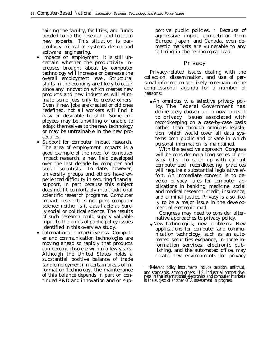taining the faculty, facilities, and funds needed to do the research and to train new experts. This situation is particularly critical in systems design and software engineering.

- *Impacts on employment.* It is still uncertain whether the productivity increases brought about by computer technology will increase or decrease the overall employment level. Structural shifts in the economy are likely to occur since any innovation which creates new products and new industries will eliminate some jobs only to create others. Even if new jobs are created or old ones redefined, not all workers will find it easy or desirable to shift. Some employees may be unwilling or unable to adapt themselves to the new technology or may be untrainable in the new procedures.
- *Support for computer impact research.* The area of employment impacts is a good example of the need for computer impact research, a new field developed over the last decade by computer and social scientists. To date, however, university groups and others have experienced difficulty in securing financial support, in part because this subject does not fit comfortably into traditional scientific research programs. Computer impact research is not pure computer science; neither is it classifiable as purely social or political science. The results of such research could supply valuable input to the kinds of public policy issues identified in this overview study.
- *International competitiveness.* Computer and communication technologies are moving ahead so rapidly that products can become obsolete within a few years. Although the United States holds a substantial positive balance of trade (and employment) in certain areas of information technology, the maintenance of this balance depends in part on continued R&D and innovation and on sup-

portive public policies. \* Because of aggressive import competition from Europe, Japan, and Canada, even domestic markets are vulnerable to any faltering in the technological lead.

#### **Privacy**

Privacy-related issues dealing with the collection, dissemination, and use of personal information are likely to remain on the congressional agenda for a number of reasons:

● *An omnibus v. a selective privacy policy.* The Federal Government has deliberately chosen up to now to react to privacy issues associated with recordkeeping on a case-by-case basis rather than through omnibus legislation, which would cover all data systems both public and private in which personal information is maintained.

With the selective approach, Congress will be considering a long series of privacy bills. To catch up with current computerized recordkeeping practices will require a substantial legislative effort. An immediate concern is to develop privacy rules for computer applications in banking, medicine, social and medical research, credit, insurance, and criminal justice. Privacy is also likely to be a major issue in the development of electronic mail.

Congress may need to consider alternative approaches to privacy policy.

● New *technologies, new problems. New* applications for computer and communication technology, such as an automated securities exchange, in-home information services, electronic publishing, and the automated office, may create new environments for privacy

<sup>\*</sup>Relevant policy instruments include taxation, antitrust, and standards, among others. U.S. industrial competitiveness in the international electronics and computer markets is the subject of another OTA assessment in progress.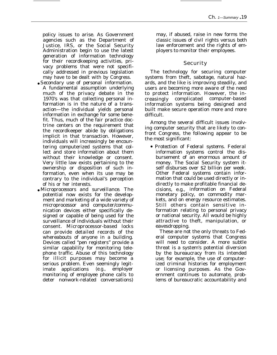policy issues to arise. As Government agencies such as the Department of Justice, IRS, or the Social Security Administration begin to use the latest generation of information technology for their recordkeeping activities, privacy problems that were not specifically addressed in previous legislation may have to be dealt with by Congress.

- *Secondary use of personal information.* A fundamental assumption underlying much of the privacy debate in the 1970's was that collecting personal information is in the nature of a transaction—the individual yields personal information in exchange for some benefit. Thus, much of the fair practice doctrine centers on the requirement that the recordkeeper abide by obligations implicit in that transaction. However, individuals will increasingly be encountering computerized systems that collect and store information about them without their knowledge or consent. Very little law exists pertaining to the ownership or disposition of such information, even when its use may be contrary to the individual's perception of his or her interests.
- *Microprocessors and surveillance.* The potential now exists for the development and marketing of a wide variety of microprocessor and computer/communication devices either specifically designed or capable of being used for the surveillance of individuals without their consent. Microprocessor-based locks can provide detailed records of the whereabouts of anyone in a building. Devices called "pen registers" provide a similar capability for monitoring telephone traffic. Abuse of this technology for illicit purposes may become a serious problem. Even seemingly legitimate applications (e.g., employer monitoring of employee phone calls to deter nonwork-related conversations)

may, if abused, raise in new forms the classic issues of civil rights versus both law enforcement and the rights of employers to monitor their employees.

#### Security

The technology for securing computer systems from theft, sabotage, natural hazards, and the like is improving steadily, and users are becoming more aware of the need to protect information. However, the increasingly complicated computer-based information systems being designed and built make secure operation more and more difficult.

Among the several difficult issues involving computer security that are likely to confront Congress, the following appear to be the most significant:

c *Protection of Federal systems.* Federal information systems control the disbursement of an enormous amount of money. The Social Security system itself disburses over \$2 billion per week. Other Federal systems contain information that could be used directly or indirectly to make profitable financial decisions, e.g., information on Federal monetary policy, on commodity markets, and on energy resource estimates. Still others contain sensitive information relating to personal privacy or national security. All would be highly attractive to theft, manipulation, or eavesdropping.

These are not the only threats to Federal computer systems that Congress will need to consider. A more subtle threat is a system's potential diversion by the bureaucracy from its intended use; for example, the use of computerized criminal histories for employment or licensing purposes. As the Government continues to automate, problems of bureaucratic accountability and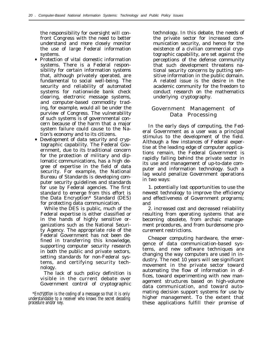the responsibility for oversight will confront Congress with the need to better understand and more closely monitor the use of large Federal information systems.

- *Protection of vital domestic information systems.* There is a Federal responsibility for certain information systems that, although privately operated, are fundamental to social well-being. The security and reliability of automated systems for nationwide bank check clearing, electronic message systems, and computer-based commodity trading, for example, would all be under the purview of Congress. The vulnerability of such systems is of governmental concern because of the harm that a major system failure could cause to the Nation's economy and to its citizens.
- *Development of data security and cryptographic capability.* The Federal Government, due to its traditional concern for the protection of military and diplomatic communications, has a high degree of expertise in the field of data security. For example, the National Bureau of Standards is developing computer security guidelines and standards for use by Federal agencies. The first standard to emerge from this effort is the Data Encryption\* Standard (DES) for protecting data communication.

While the DES is public, much of the Federal expertise is either classified or in the hands of highly sensitive organizations such as the National Security Agency. The appropriate role of the Federal Government has not been defined in transferring this knowledge, supporting computer security research in both the public and private sectors, setting standards for non-Federal systems, and certifying security technology.

The lack of such policy definition is visible in the current debate over Government control of cryptographic technology. In this debate, the needs of the private sector for increased communication security, and hence for the existence of a civilian commercial cryptographic capability, are set against the perceptions of the defense community that such development threatens national security concerns by putting sensitive information in the public domain. A related issue is the desire in the academic community for the freedom to conduct research on the mathematics underlying cryptography.

#### Government Management of Data Processing

In the early days of computing, the Federal Government as a user was a principal stimulus to the development of the field. Although a few instances of Federal expertise at the leading edge of computer applications remain, the Federal Government is rapidly falling behind the private sector in its use and management of up-to-date computer and information technology. Such a lag would penalize Government operations in two ways:

1. potentially lost opportunities to use the newest technology to improve the efficiency and effectiveness of Government programs; and

2. increased cost and decreased reliability resulting from operating systems that are becoming obsolete, from archaic management procedures, and from burdensome procurement restrictions.

Cheaper computing hardware, the emergence of data communication-based systems, and new software techniques are changing the way computers are used in industry. The next 10 years will see significant movement in the private sector toward automating the flow of information in offices, toward experimenting with new management structures based on high-volume data communication, and toward automating decision support systems for use by higher management. To the extent that these applications fulfill their promise of

<sup>\*</sup>Encryption is the coding of a message so that it is only understandable to a receiver who knows the secret decoding procedure and/or key.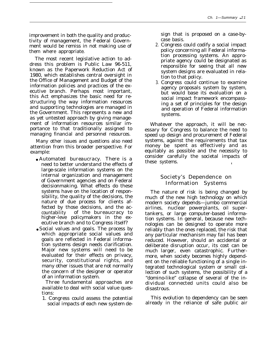improvement in both the quality and productivity of management, the Federal Government would be remiss in not making use of them where appropriate.

The most recent legislative action to address this problem is Public Law 96-511, known as the Paperwork Reduction Act of 1980, which establishes central oversight in the Office of Management and Budget of the information policies and practices of the executive branch. Perhaps most important, this Act emphasizes the basic need for restructuring the way information resources and supporting technologies are managed in the Government. This represents a new and as yet untested approach by giving management of information resources similar importance to that traditionally assigned to managing financial and personnel resources.

Many other issues and questions also need attention from this broader perspective. For example:

- *Automated bureaucracy.* There is a need to better understand the effects of large-scale information systems on the internal organization and management of Government agencies and on Federal decisionmaking. What effects do these systems have on the location of responsibility, the quality of the decisions, the nature of due process for clients affected by those decisions, and the accountability of the bureaucracy to higher-leve policymakers in the executive branch and to Congress itself?
- *Social values and goals*. The process by which appropriate social values and goals are reflected in Federal information systems design needs clarification. Major new systems will need to be evaluated for their effects on privacy, security, constitutional rights, and many other issues that are not normally the concern of the designer or operator of an information system.

Three fundamental approaches are available to deal with social value questions:

1. Congress could assess the potential social impacts of each new system design that is proposed on a case-bycase basis.

- 2. Congress could codify a social impact policy concerning all Federal information processing systems. An appropriate agency could be designated as responsible for seeing that all new system designs are evaluated in relation to that policy.
- 3. Congress could continue to examine agency proposals system by system, but would base its evaluation on a social impact framework encompassing a set of principles for the design and operation of Federal information systems.

Whatever the approach, it will be necessary for Congress to balance the need to speed up design and procurement of Federal systems, against the requirements that tax money be spent as effectively and as equitably as possible and the necessity to consider carefully the societal impacts of these systems. !

#### Society's Dependence on Information Systems

The nature of risk is being changed by much of the new high technology on which modern society depends—jumbo commercial airlines, nuclear powerplants, oil supertankers, or large computer-based information systems. In general, because new technologies can be designed to operate more reliably than the ones replaced, the risk that any particular mechanism may fail has been reduced. However, should an accidental or deliberate disruption occur, its cost can be much larger, even catastrophic. Furthermore, when society becomes highly dependent on the reliable functioning of a single integrated technological system or small collection of such systems, the possibility of a "domino-like" collapse of several of the individual connected units could also be disastrous.

This evolution to dependency can be seen already in the reliance of safe public air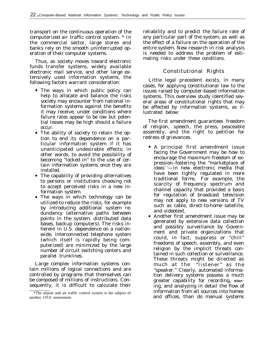transport on the continuous operation of the computerized air traffic control system. \* In the commercial sector, large stores and banks rely on the smooth uninterrupted operation of their computer systems.

Thus, as society moves toward electronic funds transfer systems, widely available electronic mail service, and other large extensively used information systems, the following factors warrant consideration:

- The ways in which public policy can help to allocate and balance the risks society may encounter from national information systems against the benefits it may receive, under conditions where failure rates appear to be low but potential losses may be high should a failure occur.
- The ability of society to retain the option to end its dependence on a particular information system if it has unanticipated undesirable effects; in other words, to avoid the possibility of becoming "locked in" to the use of certain information systems once they are installed.
- The capability of providing alternatives to persons or institutions choosing not to accept perceived risks in a new information system.
- The ways in which technology can be utilized-to reduce the risks, for example by introducing additional system redundancy (alternative paths between points in the system, distributed data bases, backup computers). The risks inherent in U.S. dependence on a nationwide, interconnected telephone system (which itself is rapidly being computerized) are minimized by the large number of circuit switching centers and parallel trunklines.

Large complex information systems contain millions of logical connections and are controlled by programs that themselves can be composed of millions of instructions. Consequently, it is difficult to calculate their

reliability and to predict the failure rate of any particular part of the system, as well as the effect of a failure on the operation of the entire system. New research in risk analysis is needed to address the problem of estimating risks under these conditions.

#### Constitutional Rights

Little legal precedent exists, in many cases, for applying constitutional law to the issues raised by computer-based information systems. This overview study identified several areas of constitutional rights that may be affected by information systems, as illustrated below:

The *first amendment* guarantees freedom of religion, speech, the press, peaceable assembly, and the right to petition for redress of grievances.

- A principal first amendment issue facing the Government may be how to encourage the maximum freedom of expression–fostering the "marketplace of ideas' '—in new electronic media that have been tightly regulated in more traditional forms. For example, the scarcity of frequency spectrum and channel capacity that provided a basis for regulation of broadcast television may not apply to new versions of TV such as cable, direct-to-home satellite, and videotext.
- Another first amendment issue may be generated by extensive data collection and possibly surveillance by Government and private organizations that could, in fact, suppress or "chill" freedoms of speech, assembly, and even religion by the implicit threats contained in such collection or surveillance. These threats might be directed as much at the "listener" as the "speaker." Clearly, automated information delivery systems possess a much greater capability for recording, **stor**ing, and analyzing in detail the flow of information from all sources into homes and offices, than do manual svstems

<sup>\*</sup>The airport and air traffic control system is the subject of another OTA assessment.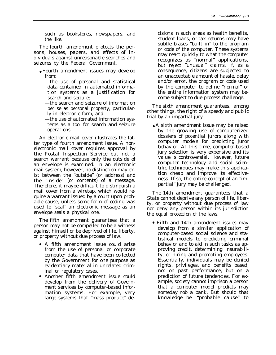such as bookstores, newspapers, and the like.

The *fourth amendment* protects the persons, houses, papers, and effects of individuals against unreasonable searches and seizures by the Federal Government.

- Fourth amendment issues may develop from:
	- —the use of personal and statistical data contained in automated information systems as a justification for search and seizure;
	- —the search and seizure of information per se as personal property, particularly in electronic form; and
	- —the use of automated information systems as a tool for search and seizure operations.

An electronic mail cover illustrates the latter type of fourth amendment issue. A nonelectronic mail cover requires approval by the Postal Inspection Service but not a search warrant because only the outside of an envelope is examined. In an electronic mail system, however, no distinction may exist between the "outside" (or address) and the "inside" (or contents) of a message. Therefore, it maybe difficult to distinguish a mail cover from a wiretap, which would require a warrant issued by a court upon probable cause, unless some form of coding was used to "seal" an electronic message as an envelope seals a physical one.

The *fifth amendment* guarantees that a person may not be compelled to be a witness against himself or be deprived of life, liberty, or property without due process of law.

- A fifth amendment issue could arise from the use of personal or corporate computer data that have been collected by the Government for one purpose as evidentiary material in unrelated criminal or regulatory cases.
- Another fifth amendment issue could develop from the delivery of Government services by computer-based information systems. For example, very large systems that "mass produce" de-

cisions in such areas as health benefits, student loans, or tax returns may have subtle biases "built in" to the program or code of the computer. These systems may react quickly to what the computer recognizes as "normal" applications, but reject "unusual" claims. If, as a consequence, citizens are subjected to an unacceptable amount of hassle, delay and/or error, the program or code used by the computer to define "normal" or the entire information system may become subject to due process challenge.

The *sixth amendment* guarantees, among other things, the right of a speedy and public trial by an impartial jury.

● A sixth amendment issue may be raised by the growing use of computerized dossiers of potential jurors along with computer models for predicting juror behavior. At this time, computer-based jury selection is very expensive and its value is controversial. However, future computer technology and social scientific techniques may make this application cheap and improve its effectiveness. If so, the entire concept of an "impartial" jury may be challenged.

The *14th amendment* guarantees that a State cannot deprive any person of life, liberty, or property without due process of law nor deny any person within its jurisdiction the equal protection of the laws.

• Fifth and 14th amendment issues may develop from a similar application of computer-based social science and statistical models to predicting criminal behavior and to aid in such tasks as approving credit, determining insurability, or hiring and promoting employees. Essentially, individuals may be denied rights, privileges, and benefits based, not on past performance, but on a prediction of future tendencies. For example, society cannot imprison a person that a computer model predicts may someday rob a bank. But should that knowledge be "probable cause" to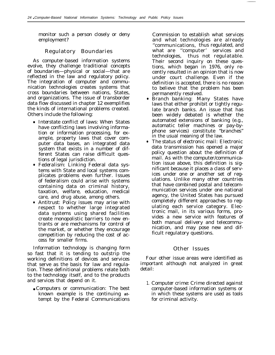monitor such a person closely or deny employment?

#### Regulatory Boundaries

As computer-based information systems evolve, they challenge traditional concepts of boundaries—physical or social—that are reflected in the law and regulatory policy. The integration of computer and communication technologies creates systems that cross boundaries between nations, States, and organizations. The issue of transborder data flow discussed in chapter 12 exemplifies the kinds of international problems created. Others include the following:

- *Interstate conflict of laws:* When States have conflicting laws involving information or information processing, for example, property laws that cover computer data bases, an integrated data system that exists in a number of different States can raise difficult questions of legal jurisdiction.
- *Federalism:* Linking Federal data systems with State and local systems complicates problems even further. Issues of federalism could arise with systems containing data on criminal history, taxation, welfare, education, medical care, and drug abuse, among others.
- *Antitrust:* Policy issues may arise with respect to whether large integrated data systems using shared facilities create monopolistic barriers to new entrants or are mechanisms for control of the market, or whether they encourage competition by reducing the cost of access for smaller firms.

Information technology is changing form so fast that it is tending to outstrip the working definitions of devices and services that serve as the basis for law and regulation. These definitional problems relate both to the technology itself, and to the products and services that depend on it.

● *Computers or communication:* The best known example is the continuing **at**tempt by the Federal Communications Commission to establish what services and what technologies are already ''communications, thus regulated, and what are "computer' services and technologies, thus not regulatable. Their second inquiry on these questions, which began in 1976, only recently resulted in an opinion that is now under court challenge. Even if the definition is accepted, there is no reason to believe that the problem has been permanently resolved.

- *Branch banking:* Many States have laws that either prohibit or tightly regulate branch banks. An issue that has been widely debated is whether the automated extensions of banking (e.g., automatic teller machines or pay-byphone services) constitute "branches" in the usual meaning of the law.
- *The status of electronic mail:* Electronic data transmission has opened a major policy question about the definition of mail. As with the computer/communication issue above, this definition is significant because it places a class of services under one or another set of regulations. Unlike many other countries that have combined postal and telecommunication services under one national agency, the United States has pursued completely different approaches to regulating each service category. Electronic mail, in its various forms, provides a new service with features of both manual delivery and telecommunication, and may pose new and difficult regulatory questions.

#### Other Issues

Four other issue areas were identified as important although not analyzed in great detail:

1. *Computer crime:* Crime directed against computer-based information systems or in which these systems are used as tools for criminal activity.